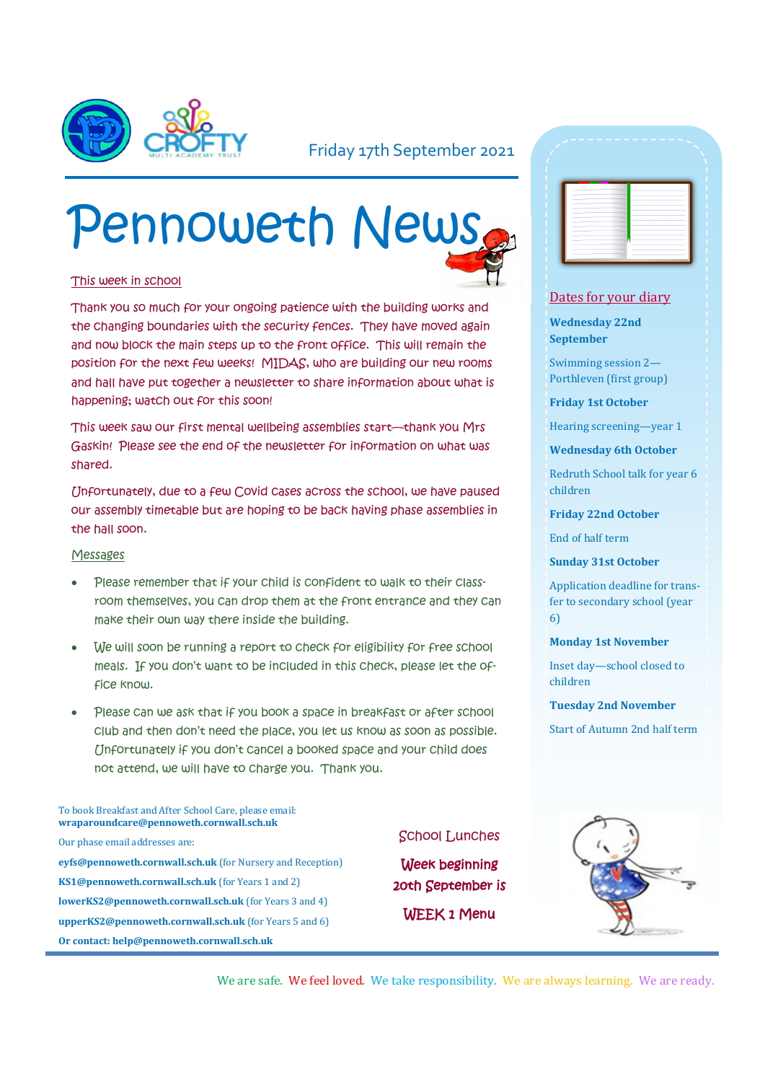

### Friday 17th September 2021

# Pennoweth News

#### This week in school

Thank you so much for your ongoing patience with the building works and the changing boundaries with the security fences. They have moved again and now block the main steps up to the front office. This will remain the position for the next few weeks! MIDAS, who are building our new rooms and hall have put together a newsletter to share information about what is happening; watch out for this soon!

This week saw our first mental wellbeing assemblies start—thank you Mrs Gaskin! Please see the end of the newsletter for information on what was shared.

Unfortunately, due to a few Covid cases across the school, we have paused our assembly timetable but are hoping to be back having phase assemblies in the hall soon.

#### Messages

- Please remember that if your child is confident to walk to their classroom themselves, you can drop them at the front entrance and they can make their own way there inside the building.
- We will soon be running a report to check for eligibility for free school meals. If you don't want to be included in this check, please let the office know.
- Please can we ask that if you book a space in breakfast or after school club and then don't need the place, you let us know as soon as possible. Unfortunately if you don't cancel a booked space and your child does not attend, we will have to charge you. Thank you.

#### To book Breakfast and After School Care, please email: **wraparoundcare@pennoweth.cornwall.sch.uk**

Our phase email addresses are: **eyfs@pennoweth.cornwall.sch.uk** (for Nursery and Reception) **KS1@pennoweth.cornwall.sch.uk** (for Years 1 and 2) **lowerKS2@pennoweth.cornwall.sch.uk** (for Years 3 and 4) **upperKS2@pennoweth.cornwall.sch.uk** (for Years 5 and 6) **Or contact: help@pennoweth.cornwall.sch.uk**



#### Dates for your diary

**Wednesday 22nd September**

Swimming session 2— Porthleven (first group)

**Friday 1st October**

Hearing screening—year 1

**Wednesday 6th October**

Redruth School talk for year 6 children

**Friday 22nd October**

End of half term

**Sunday 31st October**

Application deadline for transfer to secondary school (year 6)

**Monday 1st November**

Inset day—school closed to children

**Tuesday 2nd November**

Start of Autumn 2nd half term

#### School Lunches

Week beginning 20th September is WEEK 1 Menu



We are safe. We feel loved. We take responsibility. We are always learning. We are ready.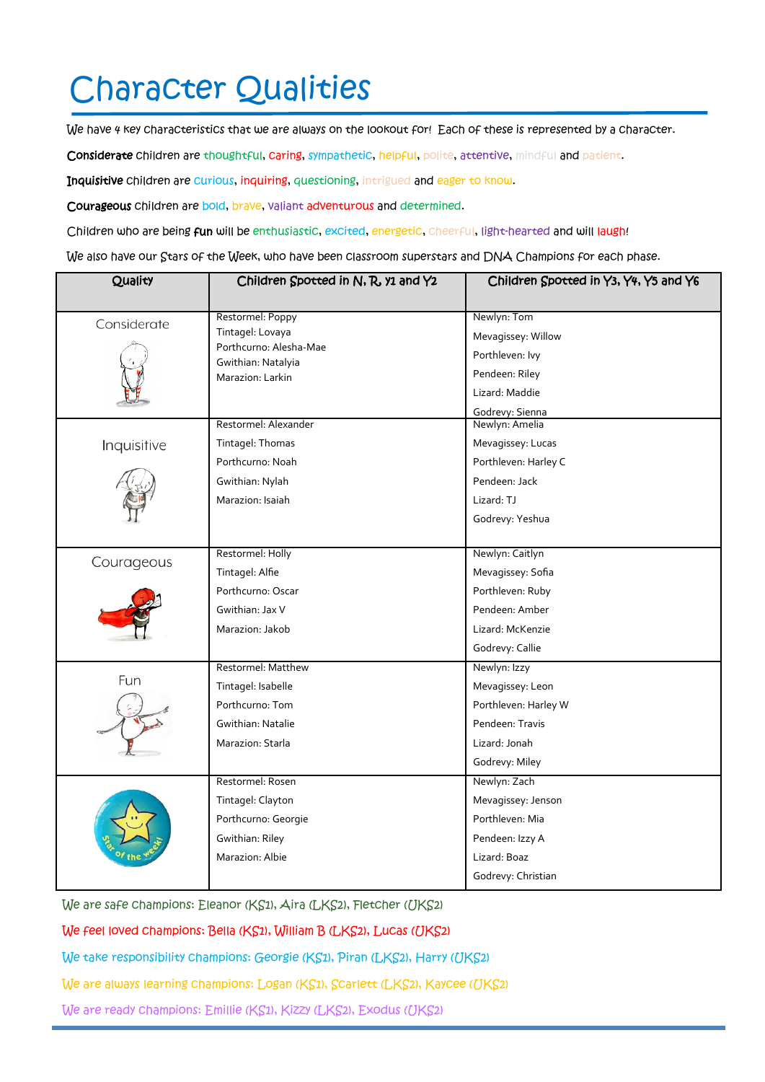# Character Qualities

We have 4 key characteristics that we are always on the lookout for! Each of these is represented by a character.

Considerate children are thoughtful, caring, sympathetic, helpful, polite, attentive, mindful and patient.

Inquisitive children are curious, inquiring, questioning, intrigued and eager to know.

Courageous children are bold, brave, valiant adventurous and determined.

Children who are being fun will be enthusiastic, excited, energetic, cheerful, light-hearted and will laugh!

We also have our Stars of the Week, who have been classroom superstars and DNA Champions for each phase.

| Restormel: Poppy<br>Newlyn: Tom<br>Considerate<br>Tintagel: Lovaya<br>Mevagissey: Willow<br>Porthcurno: Alesha-Mae<br>Porthleven: Ivy<br>Gwithian: Natalyia<br>Pendeen: Riley<br>Marazion: Larkin |
|---------------------------------------------------------------------------------------------------------------------------------------------------------------------------------------------------|
|                                                                                                                                                                                                   |
|                                                                                                                                                                                                   |
|                                                                                                                                                                                                   |
|                                                                                                                                                                                                   |
| Lizard: Maddie                                                                                                                                                                                    |
| Godrevy: Sienna                                                                                                                                                                                   |
| Restormel: Alexander<br>Newlyn: Amelia                                                                                                                                                            |
| Mevagissey: Lucas<br>Inquisitive<br>Tintagel: Thomas                                                                                                                                              |
| Porthcurno: Noah<br>Porthleven: Harley C                                                                                                                                                          |
| Pendeen: Jack<br>Gwithian: Nylah                                                                                                                                                                  |
| Marazion: Isaiah<br>Lizard: TJ                                                                                                                                                                    |
| Godrevy: Yeshua                                                                                                                                                                                   |
|                                                                                                                                                                                                   |
| Restormel: Holly<br>Newlyn: Caitlyn<br>Courageous                                                                                                                                                 |
| Tintagel: Alfie<br>Mevagissey: Sofia                                                                                                                                                              |
| Porthcurno: Oscar<br>Porthleven: Ruby                                                                                                                                                             |
| Gwithian: Jax V<br>Pendeen: Amber                                                                                                                                                                 |
| Lizard: McKenzie<br>Marazion: Jakob                                                                                                                                                               |
| Godrevy: Callie                                                                                                                                                                                   |
| Restormel: Matthew<br>Newlyn: Izzy                                                                                                                                                                |
| Fun<br>Tintagel: Isabelle<br>Mevagissey: Leon                                                                                                                                                     |
| Porthcurno: Tom<br>Porthleven: Harley W                                                                                                                                                           |
| Pendeen: Travis<br>Gwithian: Natalie                                                                                                                                                              |
| Lizard: Jonah<br>Marazion: Starla                                                                                                                                                                 |
| Godrevy: Miley                                                                                                                                                                                    |
| Restormel: Rosen<br>Newlyn: Zach                                                                                                                                                                  |
| Tintagel: Clayton<br>Mevagissey: Jenson                                                                                                                                                           |
| Porthleven: Mia<br>Porthcurno: Georgie                                                                                                                                                            |
| Gwithian: Riley<br>Pendeen: Izzy A                                                                                                                                                                |
| Marazion: Albie<br>Lizard: Boaz                                                                                                                                                                   |
| Godrevy: Christian                                                                                                                                                                                |

We are safe champions: Eleanor (KS1), Aira (LKS2), Fletcher (UKS2)

We feel loved champions: Bella (KS1), William B (LKS2), Lucas (UKS2)

We take responsibility champions: Georgie (KS1), Piran (LKS2), Harry (UKS2)

We are always learning champions: Logan (KS1), Scarlett (LKS2), Kaycee (UKS2)

We are ready champions: Emillie (KS1), Kizzy (LKS2), Exodus (UKS2)